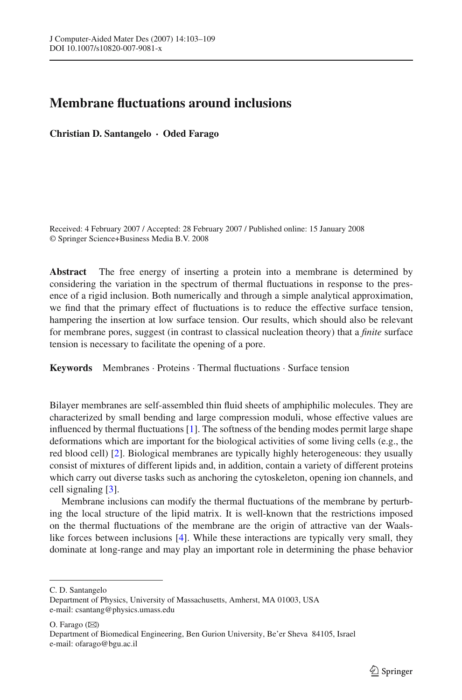## **Membrane fluctuations around inclusions**

**Christian D. Santangelo · Oded Farago**

Received: 4 February 2007 / Accepted: 28 February 2007 / Published online: 15 January 2008 © Springer Science+Business Media B.V. 2008

**Abstract** The free energy of inserting a protein into a membrane is determined by considering the variation in the spectrum of thermal fluctuations in response to the presence of a rigid inclusion. Both numerically and through a simple analytical approximation, we find that the primary effect of fluctuations is to reduce the effective surface tension, hampering the insertion at low surface tension. Our results, which should also be relevant for membrane pores, suggest (in contrast to classical nucleation theory) that a *finite* surface tension is necessary to facilitate the opening of a pore.

**Keywords** Membranes · Proteins · Thermal fluctuations · Surface tension

Bilayer membranes are self-assembled thin fluid sheets of amphiphilic molecules. They are characterized by small bending and large compression moduli, whose effective values are influenced by thermal fluctuations [\[1\]](#page-6-0). The softness of the bending modes permit large shape deformations which are important for the biological activities of some living cells (e.g., the red blood cell) [\[2\]](#page-6-1). Biological membranes are typically highly heterogeneous: they usually consist of mixtures of different lipids and, in addition, contain a variety of different proteins which carry out diverse tasks such as anchoring the cytoskeleton, opening ion channels, and cell signaling [\[3](#page-6-2)].

Membrane inclusions can modify the thermal fluctuations of the membrane by perturbing the local structure of the lipid matrix. It is well-known that the restrictions imposed on the thermal fluctuations of the membrane are the origin of attractive van der Waalslike forces between inclusions [\[4\]](#page-6-3). While these interactions are typically very small, they dominate at long-range and may play an important role in determining the phase behavior

O. Farago  $(\boxtimes)$ 

C. D. Santangelo

Department of Physics, University of Massachusetts, Amherst, MA 01003, USA e-mail: csantang@physics.umass.edu

Department of Biomedical Engineering, Ben Gurion University, Be'er Sheva 84105, Israel e-mail: ofarago@bgu.ac.il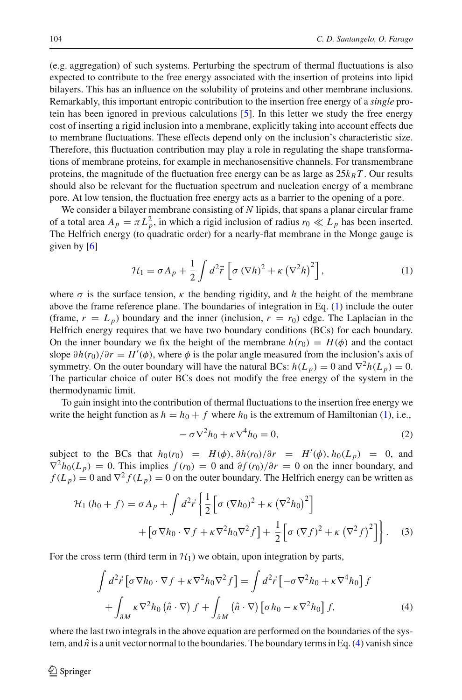(e.g. aggregation) of such systems. Perturbing the spectrum of thermal fluctuations is also expected to contribute to the free energy associated with the insertion of proteins into lipid bilayers. This has an influence on the solubility of proteins and other membrane inclusions. Remarkably, this important entropic contribution to the insertion free energy of a *single* protein has been ignored in previous calculations [\[5\]](#page-6-4). In this letter we study the free energy cost of inserting a rigid inclusion into a membrane, explicitly taking into account effects due to membrane fluctuations. These effects depend only on the inclusion's characteristic size. Therefore, this fluctuation contribution may play a role in regulating the shape transformations of membrane proteins, for example in mechanosensitive channels. For transmembrane proteins, the magnitude of the fluctuation free energy can be as large as  $25k_BT$ . Our results should also be relevant for the fluctuation spectrum and nucleation energy of a membrane pore. At low tension, the fluctuation free energy acts as a barrier to the opening of a pore.

We consider a bilayer membrane consisting of *N* lipids, that spans a planar circular frame of a total area  $A_p = \pi L_p^2$ , in which a rigid inclusion of radius  $r_0 \ll L_p$  has been inserted. The Helfrich energy (to quadratic order) for a nearly-flat membrane in the Monge gauge is given by  $[6]$ 

$$
\mathcal{H}_1 = \sigma A_p + \frac{1}{2} \int d^2 \vec{r} \left[ \sigma (\nabla h)^2 + \kappa (\nabla^2 h)^2 \right],\tag{1}
$$

<span id="page-1-0"></span>where  $\sigma$  is the surface tension,  $\kappa$  the bending rigidity, and *h* the height of the membrane above the frame reference plane. The boundaries of integration in Eq. [\(1\)](#page-1-0) include the outer (frame,  $r = L_p$ ) boundary and the inner (inclusion,  $r = r_0$ ) edge. The Laplacian in the Helfrich energy requires that we have two boundary conditions (BCs) for each boundary. On the inner boundary we fix the height of the membrane  $h(r_0) = H(\phi)$  and the contact slope  $\partial h(r_0)/\partial r = H'(\phi)$ , where  $\phi$  is the polar angle measured from the inclusion's axis of symmetry. On the outer boundary will have the natural BCs:  $h(L_p) = 0$  and  $\nabla^2 h(L_p) = 0$ . The particular choice of outer BCs does not modify the free energy of the system in the thermodynamic limit.

To gain insight into the contribution of thermal fluctuations to the insertion free energy we write the height function as  $h = h_0 + f$  where  $h_0$  is the extremum of Hamiltonian [\(1\)](#page-1-0), i.e.,

$$
-\sigma \nabla^2 h_0 + \kappa \nabla^4 h_0 = 0,\tag{2}
$$

<span id="page-1-3"></span><span id="page-1-2"></span>subject to the BCs that  $h_0(r_0) = H(\phi), \partial h(r_0)/\partial r = H'(\phi), h_0(L_p) = 0$ , and  $\nabla^2 h_0(L_p) = 0$ . This implies  $f(r_0) = 0$  and  $\partial f(r_0)/\partial r = 0$  on the inner boundary, and  $f(L_p) = 0$  and  $\nabla^2 f(L_p) = 0$  on the outer boundary. The Helfrich energy can be written as

$$
\mathcal{H}_1(h_0 + f) = \sigma A_p + \int d^2 \vec{r} \left\{ \frac{1}{2} \left[ \sigma \left( \nabla h_0 \right)^2 + \kappa \left( \nabla^2 h_0 \right)^2 \right] + \left[ \sigma \nabla h_0 \cdot \nabla f + \kappa \nabla^2 h_0 \nabla^2 f \right] + \frac{1}{2} \left[ \sigma \left( \nabla f \right)^2 + \kappa \left( \nabla^2 f \right)^2 \right] \right\}.
$$
 (3)

<span id="page-1-1"></span>For the cross term (third term in  $H_1$ ) we obtain, upon integration by parts,

$$
\int d^2 \vec{r} \left[ \sigma \nabla h_0 \cdot \nabla f + \kappa \nabla^2 h_0 \nabla^2 f \right] = \int d^2 \vec{r} \left[ -\sigma \nabla^2 h_0 + \kappa \nabla^4 h_0 \right] f
$$

$$
+ \int_{\partial M} \kappa \nabla^2 h_0 \left( \hat{n} \cdot \nabla \right) f + \int_{\partial M} \left( \hat{n} \cdot \nabla \right) \left[ \sigma h_0 - \kappa \nabla^2 h_0 \right] f, \tag{4}
$$

where the last two integrals in the above equation are performed on the boundaries of the system, and  $\hat{n}$  is a unit vector normal to the boundaries. The boundary terms in Eq. [\(4\)](#page-1-1) vanish since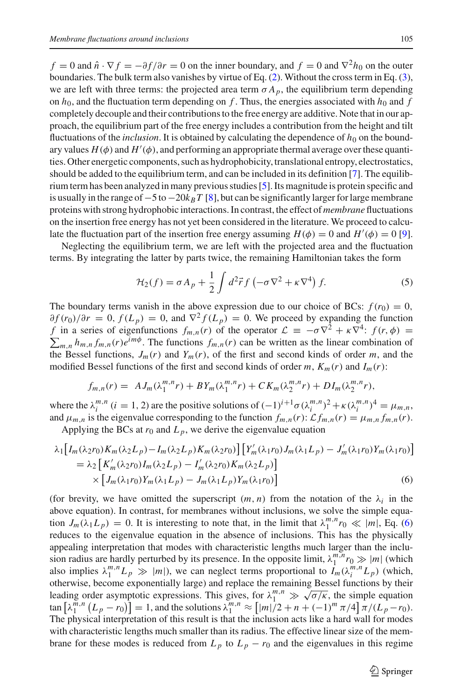$f = 0$  and  $\hat{n} \cdot \nabla f = -\partial f / \partial r = 0$  on the inner boundary, and  $f = 0$  and  $\nabla^2 h_0$  on the outer boundaries. The bulk term also vanishes by virtue of Eq. [\(2\)](#page-1-2). Without the cross term in Eq. [\(3\)](#page-1-3), we are left with three terms: the projected area term  $\sigma A_p$ , the equilibrium term depending on  $h_0$ , and the fluctuation term depending on *f*. Thus, the energies associated with  $h_0$  and *f* completely decouple and their contributions to the free energy are additive. Note that in our approach, the equilibrium part of the free energy includes a contribution from the height and tilt fluctuations of the *inclusion*. It is obtained by calculating the dependence of  $h_0$  on the boundary values  $H(\phi)$  and  $H'(\phi)$ , and performing an appropriate thermal average over these quantities. Other energetic components, such as hydrophobicity, translational entropy, electrostatics, should be added to the equilibrium term, and can be included in its definition [\[7\]](#page-6-6). The equilibrium term has been analyzed in many previous studies [\[5](#page-6-4)]. Its magnitude is protein specific and is usually in the range of  $-5$  to  $-20k_BT$  [\[8](#page-6-7)], but can be significantly larger for large membrane proteins with strong hydrophobic interactions. In contrast, the effect of *membrane* fluctuations on the insertion free energy has not yet been considered in the literature. We proceed to calculate the fluctuation part of the insertion free energy assuming  $H(\phi) = 0$  and  $H'(\phi) = 0$  [\[9\]](#page-6-8).

Neglecting the equilibrium term, we are left with the projected area and the fluctuation terms. By integrating the latter by parts twice, the remaining Hamiltonian takes the form

<span id="page-2-1"></span>
$$
\mathcal{H}_2(f) = \sigma A_p + \frac{1}{2} \int d^2 \vec{r} f \left( -\sigma \nabla^2 + \kappa \nabla^4 \right) f. \tag{5}
$$

The boundary terms vanish in the above expression due to our choice of BCs:  $f(r_0) = 0$ ,  $\partial f(r_0)/\partial r = 0$ ,  $f(L_p) = 0$ , and  $\nabla^2 f(L_p) = 0$ . We proceed by expanding the function *f* in a series of eigenfunctions  $f_{m,n}(r)$  of the operator  $\mathcal{L} \equiv -\sigma \nabla^2 + \kappa \nabla^4$ :  $f(r, \phi) =$  $\sum_{m,n} h_{m,n} f_{m,n}(r) e^{im\phi}$ . The functions  $f_{m,n}(r)$  can be written as the linear combination of the Bessel functions,  $J_m(r)$  and  $Y_m(r)$ , of the first and second kinds of order *m*, and the modified Bessel functions of the first and second kinds of order  $m$ ,  $K_m(r)$  and  $I_m(r)$ :

$$
f_{m,n}(r) = A J_m(\lambda_1^{m,n} r) + B Y_m(\lambda_1^{m,n} r) + C K_m(\lambda_2^{m,n} r) + D I_m(\lambda_2^{m,n} r),
$$

<span id="page-2-0"></span>where the  $\lambda_i^{m,n}$   $(i = 1, 2)$  are the positive solutions of  $(-1)^{i+1}\sigma(\lambda_i^{m,n})^2 + \kappa(\lambda_i^{m,n})^4 = \mu_{m,n}$ and  $\mu_{m,n}$  is the eigenvalue corresponding to the function  $f_{m,n}(r)$ :  $\mathcal{L} f_{m,n}(r) = \mu_{m,n} f_{m,n}(r)$ .

Applying the BCs at  $r_0$  and  $L_p$ , we derive the eigenvalue equation

$$
\lambda_1 \left[ I_m(\lambda_2 r_0) K_m(\lambda_2 L_p) - I_m(\lambda_2 L_p) K_m(\lambda_2 r_0) \right] \left[ Y'_m(\lambda_1 r_0) J_m(\lambda_1 L_p) - J'_m(\lambda_1 r_0) Y_m(\lambda_1 r_0) \right]
$$
  
=  $\lambda_2 \left[ K'_m(\lambda_2 r_0) I_m(\lambda_2 L_p) - I'_m(\lambda_2 r_0) K_m(\lambda_2 L_p) \right]$   
 $\times \left[ J_m(\lambda_1 r_0) Y_m(\lambda_1 L_p) - J_m(\lambda_1 L_p) Y_m(\lambda_1 r_0) \right]$  (6)

(for brevity, we have omitted the superscript  $(m, n)$  from the notation of the  $\lambda_i$  in the above equation). In contrast, for membranes without inclusions, we solve the simple equation  $J_m(\lambda_1 L_p) = 0$ . It is interesting to note that, in the limit that  $\lambda_1^{m,n} r_0 \ll |m|$ , Eq. [\(6\)](#page-2-0) reduces to the eigenvalue equation in the absence of inclusions. This has the physically appealing interpretation that modes with characteristic lengths much larger than the inclusion radius are hardly perturbed by its presence. In the opposite limit,  $\lambda_1^{m,n} r_0 \gg |m|$  (which also implies  $\lambda_1^{m,n} L_p \gg |m|$ , we can neglect terms proportional to  $I_m(\lambda_i^{m,n} L_p)$  (which, otherwise, become exponentially large) and replace the remaining Bessel functions by their leading order asymptotic expressions. This gives, for  $\lambda_1^{m,n} \gg \sqrt{\sigma/\kappa}$ , the simple equation  $\lambda_1^{m,n} (L_p - r_0) = 1$ , and the solutions  $\lambda_1^{m,n} \approx [m]/2 + n + (-1)^m \pi/4 \pi/(L_p - r_0)$ . The physical interpretation of this result is that the inclusion acts like a hard wall for modes with characteristic lengths much smaller than its radius. The effective linear size of the membrane for these modes is reduced from  $L_p$  to  $L_p - r_0$  and the eigenvalues in this regime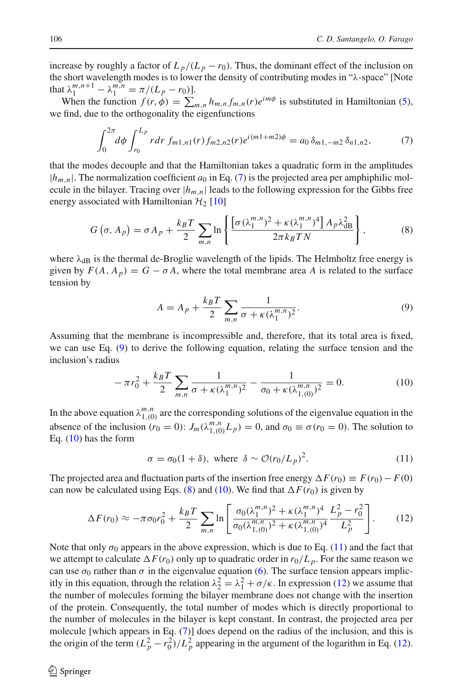increase by roughly a factor of  $L_p/(L_p - r_0)$ . Thus, the dominant effect of the inclusion on the short wavelength modes is to lower the density of contributing modes in "λ-space" [Note that  $\lambda_1^{m,n+1} - \lambda_1^{m,n} = \pi/(L_p - r_0)$ .

When the function  $f(r, \phi) = \sum_{m,n} h_{m,n} f_{m,n}(r) e^{im\phi}$  is substituted in Hamiltonian [\(5\)](#page-2-1), we find, due to the orthogonality the eigenfunctions

$$
\int_0^{2\pi} d\phi \int_{r_0}^{L_p} r dr \, f_{m1,n1}(r) f_{m2,n2}(r) e^{i(m1+m2)\phi} = a_0 \, \delta_{m1,-m2} \, \delta_{n1,n2},\tag{7}
$$

<span id="page-3-0"></span>that the modes decouple and that the Hamiltonian takes a quadratic form in the amplitudes  $|h_{m,n}|$ . The normalization coefficient  $a_0$  in Eq. [\(7\)](#page-3-0) is the projected area per amphiphilic molecule in the bilayer. Tracing over  $|h_{m,n}|$  leads to the following expression for the Gibbs free energy associated with Hamiltonian  $H_2$  [\[10](#page-6-9)]

$$
G\left(\sigma, A_p\right) = \sigma A_p + \frac{k_B T}{2} \sum_{m,n} \ln \left\{ \frac{\left[\sigma \left(\lambda_1^{m,n}\right)^2 + \kappa \left(\lambda_1^{m,n}\right)^4\right] A_p \lambda_{\text{dB}}^2}{2\pi k_B T N} \right\},\tag{8}
$$

<span id="page-3-3"></span>where  $\lambda_{dB}$  is the thermal de-Broglie wavelength of the lipids. The Helmholtz free energy is given by  $F(A, A_p) = G - \sigma A$ , where the total membrane area *A* is related to the surface tension by

$$
A = A_p + \frac{k_B T}{2} \sum_{m,n} \frac{1}{\sigma + \kappa (\lambda_1^{m,n})^2}.
$$
 (9)

<span id="page-3-1"></span>Assuming that the membrane is incompressible and, therefore, that its total area is fixed, we can use Eq. [\(9\)](#page-3-1) to derive the following equation, relating the surface tension and the inclusion's radius

$$
-\pi r_0^2 + \frac{k_B T}{2} \sum_{m,n} \frac{1}{\sigma + \kappa (\lambda_1^{m,n})^2} - \frac{1}{\sigma_0 + \kappa (\lambda_{1,(0)}^{m,n})^2} = 0.
$$
 (10)

<span id="page-3-2"></span>In the above equation  $\lambda_{1,(0)}^{m,n}$  are the corresponding solutions of the eigenvalue equation in the absence of the inclusion  $(r_0 = 0)$ :  $J_m(\lambda_{1,(0)}^{m,n}L_p) = 0$ , and  $\sigma_0 \equiv \sigma(r_0 = 0)$ . The solution to Eq. [\(10\)](#page-3-2) has the form

$$
\sigma = \sigma_0 (1 + \delta), \text{ where } \delta \sim \mathcal{O}(r_0 / L_p)^2. \tag{11}
$$

<span id="page-3-4"></span>The projected area and fluctuation parts of the insertion free energy  $\Delta F(r_0) \equiv F(r_0) - F(0)$ can now be calculated using Eqs. [\(8\)](#page-3-3) and [\(10\)](#page-3-2). We find that  $\Delta F(r_0)$  is given by

$$
\Delta F(r_0) \approx -\pi \sigma_0 r_0^2 + \frac{k_B T}{2} \sum_{m,n} \ln \left[ \frac{\sigma_0 (\lambda_1^{m,n})^2 + \kappa (\lambda_1^{m,n})^4}{\sigma_0 (\lambda_{1,(0)}^{m,n})^2 + \kappa (\lambda_{1,(0)}^{m,n})^4} \frac{L_p^2 - r_0^2}{L_p^2} \right].
$$
 (12)

<span id="page-3-5"></span>Note that only  $\sigma_0$  appears in the above expression, which is due to Eq. [\(11\)](#page-3-4) and the fact that we attempt to calculate  $\Delta F(r_0)$  only up to quadratic order in  $r_0/L_p$ . For the same reason we can use  $\sigma_0$  rather than  $\sigma$  in the eigenvalue equation [\(6\)](#page-2-0). The surface tension appears implicitly in this equation, through the relation  $\lambda_2^2 = \lambda_1^2 + \sigma / \kappa$ . In expression [\(12\)](#page-3-5) we assume that the number of molecules forming the bilayer membrane does not change with the insertion of the protein. Consequently, the total number of modes which is directly proportional to the number of molecules in the bilayer is kept constant. In contrast, the projected area per molecule [which appears in Eq. [\(7\)](#page-3-0)] does depend on the radius of the inclusion, and this is the origin of the term  $\left(L_p^2 - r_0^2\right)/L_p^2$  appearing in the argument of the logarithm in Eq. [\(12\)](#page-3-5).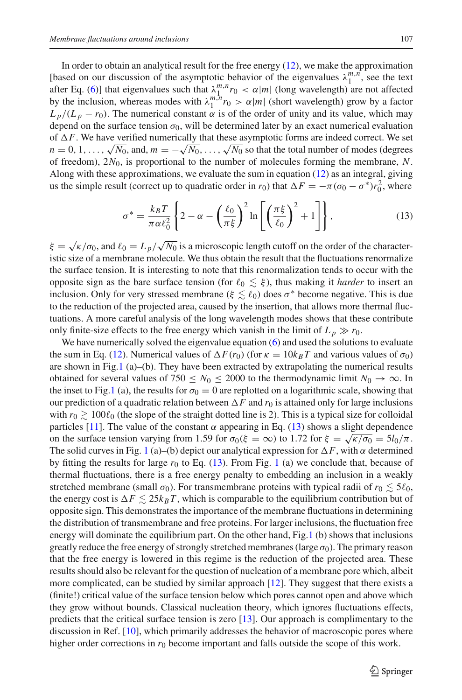In order to obtain an analytical result for the free energy  $(12)$ , we make the approximation [based on our discussion of the asymptotic behavior of the eigenvalues  $\lambda_1^{m,n}$ , see the text after Eq. [\(6\)](#page-2-0)] that eigenvalues such that  $\lambda_1^{m,n} r_0 < \alpha |m|$  (long wavelength) are not affected by the inclusion, whereas modes with  $\lambda_1^{m,n} r_0 > \alpha |m|$  (short wavelength) grow by a factor  $L_p/(L_p - r_0)$ . The numerical constant  $\alpha$  is of the order of unity and its value, which may depend on the surface tension  $\sigma_0$ , will be determined later by an exact numerical evaluation of  $\Delta F$ . We have verified numerically that these asymptotic forms are indeed correct. We set  $n = 0, 1, \ldots, \sqrt{N_0}$ , and,  $m = -\sqrt{N_0}, \ldots, \sqrt{N_0}$  so that the total number of modes (degrees of freedom), 2*N*0, is proportional to the number of molecules forming the membrane, *N*. Along with these approximations, we evaluate the sum in equation [\(12\)](#page-3-5) as an integral, giving us the simple result (correct up to quadratic order in *r*<sub>0</sub>) that  $\Delta F = -\pi (\sigma_0 - \sigma^*) r_0^2$ , where

$$
\sigma^* = \frac{k_B T}{\pi \alpha \ell_0^2} \left\{ 2 - \alpha - \left(\frac{\ell_0}{\pi \xi}\right)^2 \ln \left[ \left(\frac{\pi \xi}{\ell_0}\right)^2 + 1 \right] \right\},\tag{13}
$$

<span id="page-4-0"></span> $\xi = \sqrt{\kappa/\sigma_0}$ , and  $\ell_0 = L_p/\sqrt{N_0}$  is a microscopic length cutoff on the order of the characteristic size of a membrane molecule. We thus obtain the result that the fluctuations renormalize the surface tension. It is interesting to note that this renormalization tends to occur with the opposite sign as the bare surface tension (for  $\ell_0 \lesssim \xi$ ), thus making it *harder* to insert an inclusion. Only for very stressed membrane ( $\xi \lesssim \ell_0$ ) does  $\sigma^*$  become negative. This is due to the reduction of the projected area, caused by the insertion, that allows more thermal fluctuations. A more careful analysis of the long wavelength modes shows that these contribute only finite-size effects to the free energy which vanish in the limit of  $L_p \gg r_0$ .

We have numerically solved the eigenvalue equation [\(6\)](#page-2-0) and used the solutions to evaluate the sum in Eq. [\(12\)](#page-3-5). Numerical values of  $\Delta F(r_0)$  (for  $\kappa = 10k_BT$  and various values of  $\sigma_0$ ) are shown in Fig[.1](#page-5-0) (a)–(b). They have been extracted by extrapolating the numerical results obtained for several values of 750  $\leq N_0 \leq 2000$  to the thermodynamic limit  $N_0 \to \infty$ . In the inset to Fig[.1](#page-5-0) (a), the results for  $\sigma_0 = 0$  are replotted on a logarithmic scale, showing that our prediction of a quadratic relation between  $\Delta F$  and  $r_0$  is attained only for large inclusions with  $r_0 \gtrsim 100 \ell_0$  (the slope of the straight dotted line is 2). This is a typical size for colloidal particles [\[11](#page-6-10)]. The value of the constant  $\alpha$  appearing in Eq. [\(13\)](#page-4-0) shows a slight dependence on the surface tension varying from 1.59 for  $\sigma_0(\xi = \infty)$  to 1.72 for  $\xi = \sqrt{\frac{\kappa}{\sigma_0}} = \frac{5l_0}{\pi}$ . The solid curves in Fig. [1](#page-5-0) (a)–(b) depict our analytical expression for  $\Delta F$ , with  $\alpha$  determined by fitting the results for large  $r_0$  to Eq.  $(13)$ . From Fig. [1](#page-5-0) (a) we conclude that, because of thermal fluctuations, there is a free energy penalty to embedding an inclusion in a weakly stretched membrane (small  $\sigma_0$ ). For transmembrane proteins with typical radii of  $r_0 \lesssim 5\ell_0$ , the energy cost is  $\Delta F \leq 25k_BT$ , which is comparable to the equilibrium contribution but of opposite sign. This demonstrates the importance of the membrane fluctuations in determining the distribution of transmembrane and free proteins. For larger inclusions, the fluctuation free energy will dominate the equilibrium part. On the other hand, Fig[.1](#page-5-0) (b) shows that inclusions greatly reduce the free energy of strongly stretched membranes (large  $\sigma_0$ ). The primary reason that the free energy is lowered in this regime is the reduction of the projected area. These results should also be relevant for the question of nucleation of a membrane pore which, albeit more complicated, can be studied by similar approach [\[12\]](#page-6-11). They suggest that there exists a (finite!) critical value of the surface tension below which pores cannot open and above which they grow without bounds. Classical nucleation theory, which ignores fluctuations effects, predicts that the critical surface tension is zero [\[13\]](#page-6-12). Our approach is complimentary to the discussion in Ref. [\[10](#page-6-9)], which primarily addresses the behavior of macroscopic pores where higher order corrections in  $r_0$  become important and falls outside the scope of this work.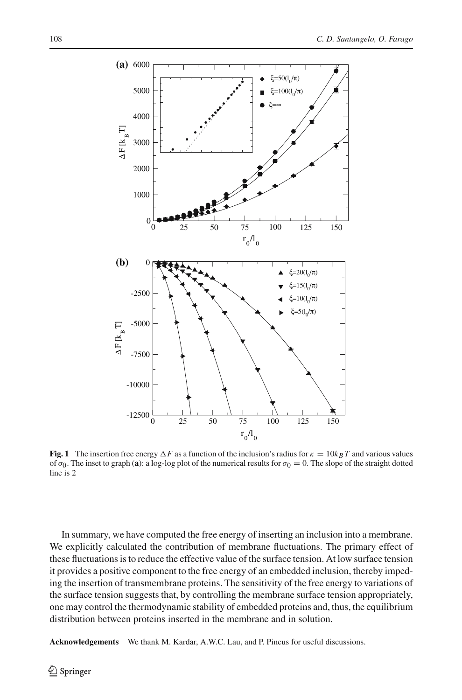

<span id="page-5-0"></span>**Fig. 1** The insertion free energy  $\Delta F$  as a function of the inclusion's radius for  $\kappa = 10k_BT$  and various values of  $\sigma_0$ . The inset to graph (**a**): a log-log plot of the numerical results for  $\sigma_0 = 0$ . The slope of the straight dotted line is 2

In summary, we have computed the free energy of inserting an inclusion into a membrane. We explicitly calculated the contribution of membrane fluctuations. The primary effect of these fluctuations is to reduce the effective value of the surface tension. At low surface tension it provides a positive component to the free energy of an embedded inclusion, thereby impeding the insertion of transmembrane proteins. The sensitivity of the free energy to variations of the surface tension suggests that, by controlling the membrane surface tension appropriately, one may control the thermodynamic stability of embedded proteins and, thus, the equilibrium distribution between proteins inserted in the membrane and in solution.

**Acknowledgements** We thank M. Kardar, A.W.C. Lau, and P. Pincus for useful discussions.